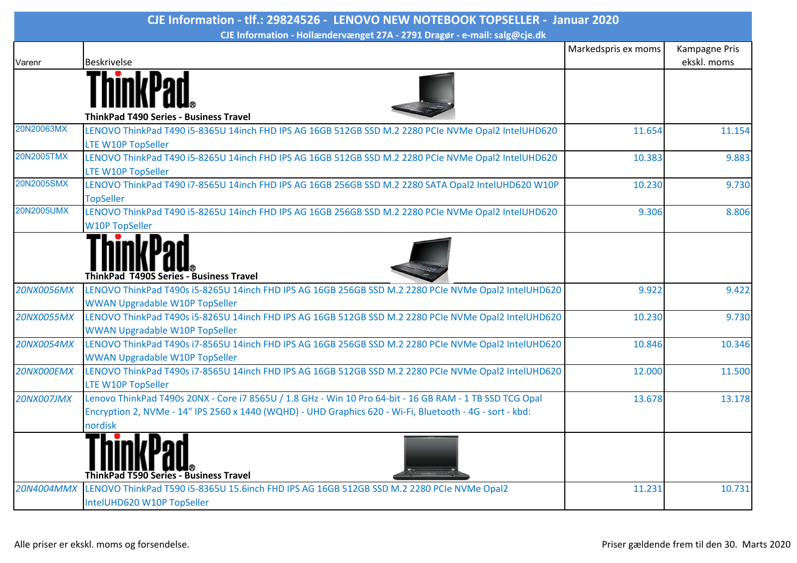| CJE Information - tlf.: 29824526 - LENOVO NEW NOTEBOOK TOPSELLER - Januar 2020 |                                                                                                                                       |                     |               |  |  |
|--------------------------------------------------------------------------------|---------------------------------------------------------------------------------------------------------------------------------------|---------------------|---------------|--|--|
| CJE Information - Hollændervænget 27A - 2791 Dragør - e-mail: salg@cje.dk      |                                                                                                                                       |                     |               |  |  |
|                                                                                |                                                                                                                                       | Markedspris ex moms | Kampagne Pris |  |  |
| Varenr                                                                         | <b>Beskrivelse</b>                                                                                                                    |                     | ekskl. moms   |  |  |
|                                                                                |                                                                                                                                       |                     |               |  |  |
| 20N20063MX                                                                     | <b>ThinkPad T490 Series - Business Travel</b>                                                                                         |                     |               |  |  |
|                                                                                | LENOVO ThinkPad T490 i5-8365U 14inch FHD IPS AG 16GB 512GB SSD M.2 2280 PCIe NVMe Opal2 IntelUHD620<br>LTE W10P TopSeller             | 11.654              | 11.154        |  |  |
| 20N2005TMX                                                                     | LENOVO ThinkPad T490 i5-8265U 14inch FHD IPS AG 16GB 512GB SSD M.2 2280 PCIe NVMe Opal2 IntelUHD620                                   | 10.383              | 9.883         |  |  |
|                                                                                | LTE W10P TopSeller                                                                                                                    |                     |               |  |  |
| 20N2005SMX                                                                     | LENOVO ThinkPad T490 i7-8565U 14inch FHD IPS AG 16GB 256GB SSD M.2 2280 SATA Opal2 IntelUHD620 W10P                                   | 10.230              | 9.730         |  |  |
|                                                                                | <b>TopSeller</b>                                                                                                                      |                     |               |  |  |
| 20N2005UMX                                                                     | LENOVO ThinkPad T490 i5-8265U 14inch FHD IPS AG 16GB 256GB SSD M.2 2280 PCIe NVMe Opal2 IntelUHD620                                   | 9.306               | 8.806         |  |  |
|                                                                                | <b>W10P TopSeller</b>                                                                                                                 |                     |               |  |  |
|                                                                                | <b>ThinkPad T490S Series - Business Travel</b>                                                                                        |                     |               |  |  |
| <b>20NX0056MX</b>                                                              | LENOVO ThinkPad T490s i5-8265U 14inch FHD IPS AG 16GB 256GB SSD M.2 2280 PCIe NVMe Opal2 IntelUHD620                                  | 9.922               | 9.422         |  |  |
|                                                                                | <b>WWAN Upgradable W10P TopSeller</b>                                                                                                 |                     |               |  |  |
| <b>20NX0055MX</b>                                                              | LENOVO ThinkPad T490s i5-8265U 14inch FHD IPS AG 16GB 512GB SSD M.2 2280 PCIe NVMe Opal2 IntelUHD620                                  | 10.230              | 9.730         |  |  |
|                                                                                | <b>WWAN Upgradable W10P TopSeller</b>                                                                                                 |                     |               |  |  |
| <b>20NX0054MX</b>                                                              | LENOVO ThinkPad T490s i7-8565U 14inch FHD IPS AG 16GB 256GB SSD M.2 2280 PCIe NVMe Opal2 IntelUHD620                                  | 10.846              | 10.346        |  |  |
|                                                                                | <b>WWAN Upgradable W10P TopSeller</b>                                                                                                 |                     |               |  |  |
| 20NX000EMX                                                                     | LENOVO ThinkPad T490s i7-8565U 14inch FHD IPS AG 16GB 512GB SSD M.2 2280 PCIe NVMe Opal2 IntelUHD620                                  | 12.000              | 11.500        |  |  |
| <b>20NX007JMX</b>                                                              | <b>LTE W10P TopSeller</b><br>Lenovo ThinkPad T490s 20NX - Core i7 8565U / 1.8 GHz - Win 10 Pro 64-bit - 16 GB RAM - 1 TB SSD TCG Opal | 13.678              | 13.178        |  |  |
|                                                                                | Encryption 2, NVMe - 14" IPS 2560 x 1440 (WQHD) - UHD Graphics 620 - Wi-Fi, Bluetooth - 4G - sort - kbd:                              |                     |               |  |  |
|                                                                                | nordisk                                                                                                                               |                     |               |  |  |
|                                                                                | <b>ThinkPad T590 Series - Business Travel</b>                                                                                         |                     |               |  |  |
| 20N4004MMX                                                                     | LENOVO ThinkPad T590 i5-8365U 15.6inch FHD IPS AG 16GB 512GB SSD M.2 2280 PCIe NVMe Opal2                                             | 11.231              | 10.731        |  |  |
|                                                                                | IntelUHD620 W10P TopSeller                                                                                                            |                     |               |  |  |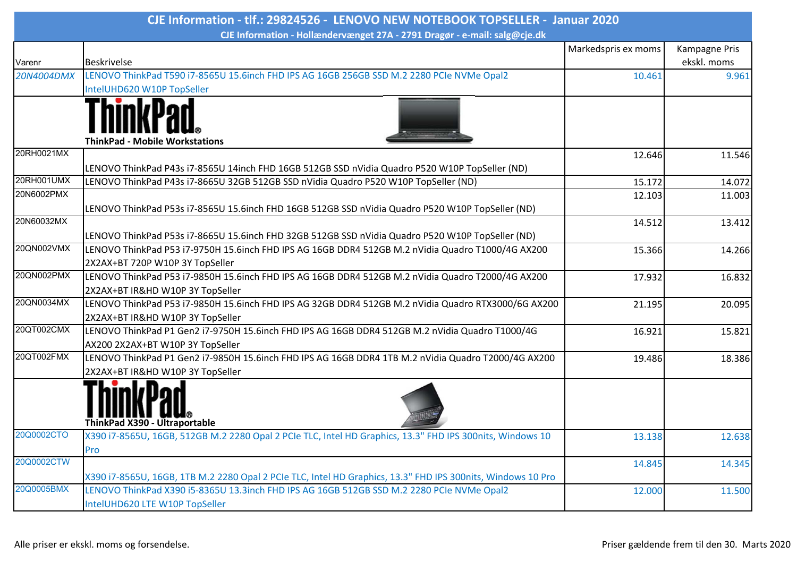| CJE Information - Hollændervænget 27A - 2791 Dragør - e-mail: salg@cje.dk<br>Markedspris ex moms<br><b>Beskrivelse</b><br>Varenr<br>LENOVO ThinkPad T590 i7-8565U 15.6inch FHD IPS AG 16GB 256GB SSD M.2 2280 PCIe NVMe Opal2<br>20N4004DMX<br>10.461<br>IntelUHD620 W10P TopSeller<br><b>ThinkPad - Mobile Workstations</b><br>20RH0021MX<br>12.646<br>LENOVO ThinkPad P43s i7-8565U 14inch FHD 16GB 512GB SSD nVidia Quadro P520 W10P TopSeller (ND)<br>20RH001UMX<br>LENOVO ThinkPad P43s i7-8665U 32GB 512GB SSD nVidia Quadro P520 W10P TopSeller (ND)<br>15.172<br>20N6002PMX<br>12.103<br>LENOVO ThinkPad P53s i7-8565U 15.6inch FHD 16GB 512GB SSD nVidia Quadro P520 W10P TopSeller (ND)<br>20N60032MX<br>14.512<br>LENOVO ThinkPad P53s i7-8665U 15.6inch FHD 32GB 512GB SSD nVidia Quadro P520 W10P TopSeller (ND)<br>20QN002VMX<br>LENOVO ThinkPad P53 i7-9750H 15.6inch FHD IPS AG 16GB DDR4 512GB M.2 nVidia Quadro T1000/4G AX200<br>15.366<br>2X2AX+BT 720P W10P 3Y TopSeller<br>20QN002PMX<br>LENOVO ThinkPad P53 i7-9850H 15.6inch FHD IPS AG 16GB DDR4 512GB M.2 nVidia Quadro T2000/4G AX200<br>17.932<br>2X2AX+BT IR&HD W10P 3Y TopSeller<br>20QN0034MX<br>LENOVO ThinkPad P53 i7-9850H 15.6inch FHD IPS AG 32GB DDR4 512GB M.2 nVidia Quadro RTX3000/6G AX200<br>21.195<br>2X2AX+BT IR&HD W10P 3Y TopSeller<br>20QT002CMX<br>LENOVO ThinkPad P1 Gen2 i7-9750H 15.6inch FHD IPS AG 16GB DDR4 512GB M.2 nVidia Quadro T1000/4G<br>16.921<br>AX200 2X2AX+BT W10P 3Y TopSeller<br>20QT002FMX<br>LENOVO ThinkPad P1 Gen2 i7-9850H 15.6inch FHD IPS AG 16GB DDR4 1TB M.2 nVidia Quadro T2000/4G AX200<br>19.486<br>2X2AX+BT IR&HD W10P 3Y TopSeller<br>ThinkPad X390 - Ultraportable<br>20Q0002CTO<br>X390 i7-8565U, 16GB, 512GB M.2 2280 Opal 2 PCIe TLC, Intel HD Graphics, 13.3" FHD IPS 300nits, Windows 10<br>13.138 | CJE Information - tlf.: 29824526 - LENOVO NEW NOTEBOOK TOPSELLER - Januar 2020 |  |  |               |  |  |
|-------------------------------------------------------------------------------------------------------------------------------------------------------------------------------------------------------------------------------------------------------------------------------------------------------------------------------------------------------------------------------------------------------------------------------------------------------------------------------------------------------------------------------------------------------------------------------------------------------------------------------------------------------------------------------------------------------------------------------------------------------------------------------------------------------------------------------------------------------------------------------------------------------------------------------------------------------------------------------------------------------------------------------------------------------------------------------------------------------------------------------------------------------------------------------------------------------------------------------------------------------------------------------------------------------------------------------------------------------------------------------------------------------------------------------------------------------------------------------------------------------------------------------------------------------------------------------------------------------------------------------------------------------------------------------------------------------------------------------------------------------------------------------------------------------------------------------------------|--------------------------------------------------------------------------------|--|--|---------------|--|--|
|                                                                                                                                                                                                                                                                                                                                                                                                                                                                                                                                                                                                                                                                                                                                                                                                                                                                                                                                                                                                                                                                                                                                                                                                                                                                                                                                                                                                                                                                                                                                                                                                                                                                                                                                                                                                                                           |                                                                                |  |  |               |  |  |
|                                                                                                                                                                                                                                                                                                                                                                                                                                                                                                                                                                                                                                                                                                                                                                                                                                                                                                                                                                                                                                                                                                                                                                                                                                                                                                                                                                                                                                                                                                                                                                                                                                                                                                                                                                                                                                           |                                                                                |  |  | Kampagne Pris |  |  |
|                                                                                                                                                                                                                                                                                                                                                                                                                                                                                                                                                                                                                                                                                                                                                                                                                                                                                                                                                                                                                                                                                                                                                                                                                                                                                                                                                                                                                                                                                                                                                                                                                                                                                                                                                                                                                                           |                                                                                |  |  | ekskl. moms   |  |  |
|                                                                                                                                                                                                                                                                                                                                                                                                                                                                                                                                                                                                                                                                                                                                                                                                                                                                                                                                                                                                                                                                                                                                                                                                                                                                                                                                                                                                                                                                                                                                                                                                                                                                                                                                                                                                                                           |                                                                                |  |  | 9.961         |  |  |
|                                                                                                                                                                                                                                                                                                                                                                                                                                                                                                                                                                                                                                                                                                                                                                                                                                                                                                                                                                                                                                                                                                                                                                                                                                                                                                                                                                                                                                                                                                                                                                                                                                                                                                                                                                                                                                           |                                                                                |  |  |               |  |  |
|                                                                                                                                                                                                                                                                                                                                                                                                                                                                                                                                                                                                                                                                                                                                                                                                                                                                                                                                                                                                                                                                                                                                                                                                                                                                                                                                                                                                                                                                                                                                                                                                                                                                                                                                                                                                                                           |                                                                                |  |  |               |  |  |
|                                                                                                                                                                                                                                                                                                                                                                                                                                                                                                                                                                                                                                                                                                                                                                                                                                                                                                                                                                                                                                                                                                                                                                                                                                                                                                                                                                                                                                                                                                                                                                                                                                                                                                                                                                                                                                           |                                                                                |  |  | 11.546        |  |  |
|                                                                                                                                                                                                                                                                                                                                                                                                                                                                                                                                                                                                                                                                                                                                                                                                                                                                                                                                                                                                                                                                                                                                                                                                                                                                                                                                                                                                                                                                                                                                                                                                                                                                                                                                                                                                                                           |                                                                                |  |  |               |  |  |
|                                                                                                                                                                                                                                                                                                                                                                                                                                                                                                                                                                                                                                                                                                                                                                                                                                                                                                                                                                                                                                                                                                                                                                                                                                                                                                                                                                                                                                                                                                                                                                                                                                                                                                                                                                                                                                           |                                                                                |  |  | 14.072        |  |  |
|                                                                                                                                                                                                                                                                                                                                                                                                                                                                                                                                                                                                                                                                                                                                                                                                                                                                                                                                                                                                                                                                                                                                                                                                                                                                                                                                                                                                                                                                                                                                                                                                                                                                                                                                                                                                                                           |                                                                                |  |  | 11.003        |  |  |
|                                                                                                                                                                                                                                                                                                                                                                                                                                                                                                                                                                                                                                                                                                                                                                                                                                                                                                                                                                                                                                                                                                                                                                                                                                                                                                                                                                                                                                                                                                                                                                                                                                                                                                                                                                                                                                           |                                                                                |  |  |               |  |  |
|                                                                                                                                                                                                                                                                                                                                                                                                                                                                                                                                                                                                                                                                                                                                                                                                                                                                                                                                                                                                                                                                                                                                                                                                                                                                                                                                                                                                                                                                                                                                                                                                                                                                                                                                                                                                                                           |                                                                                |  |  | 13.412        |  |  |
|                                                                                                                                                                                                                                                                                                                                                                                                                                                                                                                                                                                                                                                                                                                                                                                                                                                                                                                                                                                                                                                                                                                                                                                                                                                                                                                                                                                                                                                                                                                                                                                                                                                                                                                                                                                                                                           |                                                                                |  |  |               |  |  |
|                                                                                                                                                                                                                                                                                                                                                                                                                                                                                                                                                                                                                                                                                                                                                                                                                                                                                                                                                                                                                                                                                                                                                                                                                                                                                                                                                                                                                                                                                                                                                                                                                                                                                                                                                                                                                                           |                                                                                |  |  | 14.266        |  |  |
|                                                                                                                                                                                                                                                                                                                                                                                                                                                                                                                                                                                                                                                                                                                                                                                                                                                                                                                                                                                                                                                                                                                                                                                                                                                                                                                                                                                                                                                                                                                                                                                                                                                                                                                                                                                                                                           |                                                                                |  |  |               |  |  |
|                                                                                                                                                                                                                                                                                                                                                                                                                                                                                                                                                                                                                                                                                                                                                                                                                                                                                                                                                                                                                                                                                                                                                                                                                                                                                                                                                                                                                                                                                                                                                                                                                                                                                                                                                                                                                                           |                                                                                |  |  | 16.832        |  |  |
|                                                                                                                                                                                                                                                                                                                                                                                                                                                                                                                                                                                                                                                                                                                                                                                                                                                                                                                                                                                                                                                                                                                                                                                                                                                                                                                                                                                                                                                                                                                                                                                                                                                                                                                                                                                                                                           |                                                                                |  |  |               |  |  |
|                                                                                                                                                                                                                                                                                                                                                                                                                                                                                                                                                                                                                                                                                                                                                                                                                                                                                                                                                                                                                                                                                                                                                                                                                                                                                                                                                                                                                                                                                                                                                                                                                                                                                                                                                                                                                                           |                                                                                |  |  | 20.095        |  |  |
|                                                                                                                                                                                                                                                                                                                                                                                                                                                                                                                                                                                                                                                                                                                                                                                                                                                                                                                                                                                                                                                                                                                                                                                                                                                                                                                                                                                                                                                                                                                                                                                                                                                                                                                                                                                                                                           |                                                                                |  |  |               |  |  |
|                                                                                                                                                                                                                                                                                                                                                                                                                                                                                                                                                                                                                                                                                                                                                                                                                                                                                                                                                                                                                                                                                                                                                                                                                                                                                                                                                                                                                                                                                                                                                                                                                                                                                                                                                                                                                                           |                                                                                |  |  | 15.821        |  |  |
|                                                                                                                                                                                                                                                                                                                                                                                                                                                                                                                                                                                                                                                                                                                                                                                                                                                                                                                                                                                                                                                                                                                                                                                                                                                                                                                                                                                                                                                                                                                                                                                                                                                                                                                                                                                                                                           |                                                                                |  |  |               |  |  |
|                                                                                                                                                                                                                                                                                                                                                                                                                                                                                                                                                                                                                                                                                                                                                                                                                                                                                                                                                                                                                                                                                                                                                                                                                                                                                                                                                                                                                                                                                                                                                                                                                                                                                                                                                                                                                                           |                                                                                |  |  | 18.386        |  |  |
|                                                                                                                                                                                                                                                                                                                                                                                                                                                                                                                                                                                                                                                                                                                                                                                                                                                                                                                                                                                                                                                                                                                                                                                                                                                                                                                                                                                                                                                                                                                                                                                                                                                                                                                                                                                                                                           |                                                                                |  |  |               |  |  |
|                                                                                                                                                                                                                                                                                                                                                                                                                                                                                                                                                                                                                                                                                                                                                                                                                                                                                                                                                                                                                                                                                                                                                                                                                                                                                                                                                                                                                                                                                                                                                                                                                                                                                                                                                                                                                                           |                                                                                |  |  |               |  |  |
| Pro                                                                                                                                                                                                                                                                                                                                                                                                                                                                                                                                                                                                                                                                                                                                                                                                                                                                                                                                                                                                                                                                                                                                                                                                                                                                                                                                                                                                                                                                                                                                                                                                                                                                                                                                                                                                                                       |                                                                                |  |  | 12.638        |  |  |
| 20Q0002CTW<br>14.845                                                                                                                                                                                                                                                                                                                                                                                                                                                                                                                                                                                                                                                                                                                                                                                                                                                                                                                                                                                                                                                                                                                                                                                                                                                                                                                                                                                                                                                                                                                                                                                                                                                                                                                                                                                                                      |                                                                                |  |  | 14.345        |  |  |
| X390 i7-8565U, 16GB, 1TB M.2 2280 Opal 2 PCIe TLC, Intel HD Graphics, 13.3" FHD IPS 300nits, Windows 10 Pro                                                                                                                                                                                                                                                                                                                                                                                                                                                                                                                                                                                                                                                                                                                                                                                                                                                                                                                                                                                                                                                                                                                                                                                                                                                                                                                                                                                                                                                                                                                                                                                                                                                                                                                               |                                                                                |  |  |               |  |  |
| 20Q0005BMX<br>LENOVO ThinkPad X390 i5-8365U 13.3inch FHD IPS AG 16GB 512GB SSD M.2 2280 PCIe NVMe Opal2<br>12.000                                                                                                                                                                                                                                                                                                                                                                                                                                                                                                                                                                                                                                                                                                                                                                                                                                                                                                                                                                                                                                                                                                                                                                                                                                                                                                                                                                                                                                                                                                                                                                                                                                                                                                                         |                                                                                |  |  | 11.500        |  |  |
| IntelUHD620 LTE W10P TopSeller                                                                                                                                                                                                                                                                                                                                                                                                                                                                                                                                                                                                                                                                                                                                                                                                                                                                                                                                                                                                                                                                                                                                                                                                                                                                                                                                                                                                                                                                                                                                                                                                                                                                                                                                                                                                            |                                                                                |  |  |               |  |  |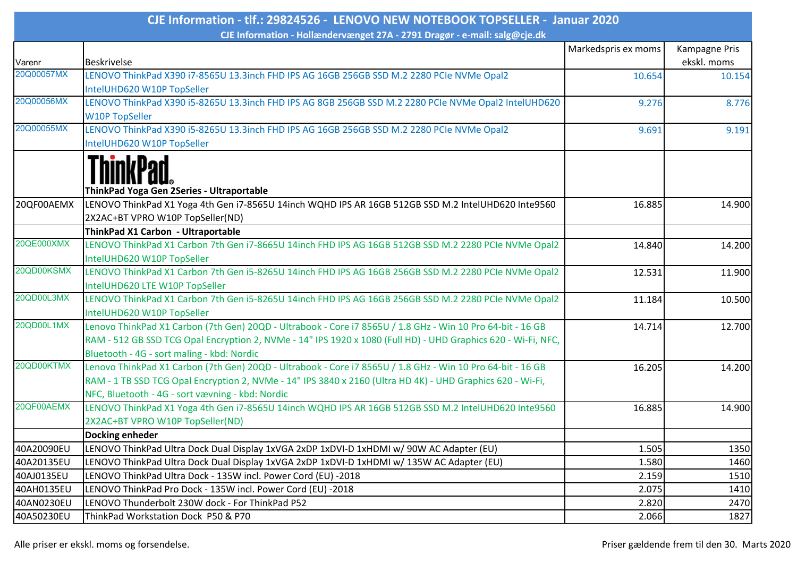| CJE Information - tlf.: 29824526 - LENOVO NEW NOTEBOOK TOPSELLER - Januar 2020 |                                                                                                                                                                                                                                                                              |                     |                              |  |  |  |
|--------------------------------------------------------------------------------|------------------------------------------------------------------------------------------------------------------------------------------------------------------------------------------------------------------------------------------------------------------------------|---------------------|------------------------------|--|--|--|
| CJE Information - Hollændervænget 27A - 2791 Dragør - e-mail: salg@cje.dk      |                                                                                                                                                                                                                                                                              |                     |                              |  |  |  |
| Varenr                                                                         | <b>Beskrivelse</b>                                                                                                                                                                                                                                                           | Markedspris ex moms | Kampagne Pris<br>ekskl. moms |  |  |  |
| 20Q00057MX                                                                     | LENOVO ThinkPad X390 i7-8565U 13.3inch FHD IPS AG 16GB 256GB SSD M.2 2280 PCIe NVMe Opal2<br>IntelUHD620 W10P TopSeller                                                                                                                                                      | 10.654              | 10.154                       |  |  |  |
| 20Q00056MX                                                                     | LENOVO ThinkPad X390 i5-8265U 13.3inch FHD IPS AG 8GB 256GB SSD M.2 2280 PCIe NVMe Opal2 IntelUHD620<br><b>W10P TopSeller</b>                                                                                                                                                | 9.276               | 8.776                        |  |  |  |
| 20Q00055MX                                                                     | LENOVO ThinkPad X390 i5-8265U 13.3inch FHD IPS AG 16GB 256GB SSD M.2 2280 PCIe NVMe Opal2<br>IntelUHD620 W10P TopSeller                                                                                                                                                      | 9.691               | 9.191                        |  |  |  |
|                                                                                | ThinkPad Yoga Gen 2Series - Ultraportable                                                                                                                                                                                                                                    |                     |                              |  |  |  |
| 20QF00AEMX                                                                     | LENOVO ThinkPad X1 Yoga 4th Gen i7-8565U 14inch WQHD IPS AR 16GB 512GB SSD M.2 IntelUHD620 Inte9560<br>2X2AC+BT VPRO W10P TopSeller(ND)                                                                                                                                      | 16.885              | 14.900                       |  |  |  |
|                                                                                | ThinkPad X1 Carbon - Ultraportable                                                                                                                                                                                                                                           |                     |                              |  |  |  |
| 20QE000XMX                                                                     | LENOVO ThinkPad X1 Carbon 7th Gen i7-8665U 14inch FHD IPS AG 16GB 512GB SSD M.2 2280 PCIe NVMe Opal2<br>IntelUHD620 W10P TopSeller                                                                                                                                           | 14.840              | 14.200                       |  |  |  |
| 20QD00KSMX                                                                     | LENOVO ThinkPad X1 Carbon 7th Gen i5-8265U 14inch FHD IPS AG 16GB 256GB SSD M.2 2280 PCIe NVMe Opal2<br>IntelUHD620 LTE W10P TopSeller                                                                                                                                       | 12.531              | 11.900                       |  |  |  |
| 20QD00L3MX                                                                     | LENOVO ThinkPad X1 Carbon 7th Gen i5-8265U 14inch FHD IPS AG 16GB 256GB SSD M.2 2280 PCIe NVMe Opal2<br>IntelUHD620 W10P TopSeller                                                                                                                                           | 11.184              | 10.500                       |  |  |  |
| 20QD00L1MX                                                                     | Lenovo ThinkPad X1 Carbon (7th Gen) 20QD - Ultrabook - Core i7 8565U / 1.8 GHz - Win 10 Pro 64-bit - 16 GB<br>RAM - 512 GB SSD TCG Opal Encryption 2, NVMe - 14" IPS 1920 x 1080 (Full HD) - UHD Graphics 620 - Wi-Fi, NFC,<br>Bluetooth - 4G - sort maling - kbd: Nordic    | 14.714              | 12.700                       |  |  |  |
| 20QD00KTMX                                                                     | Lenovo ThinkPad X1 Carbon (7th Gen) 20QD - Ultrabook - Core i7 8565U / 1.8 GHz - Win 10 Pro 64-bit - 16 GB<br>RAM - 1 TB SSD TCG Opal Encryption 2, NVMe - 14" IPS 3840 x 2160 (Ultra HD 4K) - UHD Graphics 620 - Wi-Fi,<br>NFC, Bluetooth - 4G - sort vævning - kbd: Nordic | 16.205              | 14.200                       |  |  |  |
| 20QF00AEMX                                                                     | LENOVO ThinkPad X1 Yoga 4th Gen i7-8565U 14inch WQHD IPS AR 16GB 512GB SSD M.2 IntelUHD620 Inte9560<br>2X2AC+BT VPRO W10P TopSeller(ND)                                                                                                                                      | 16.885              | 14.900                       |  |  |  |
|                                                                                | Docking enheder                                                                                                                                                                                                                                                              |                     |                              |  |  |  |
| 40A20090EU                                                                     | LENOVO ThinkPad Ultra Dock Dual Display 1xVGA 2xDP 1xDVI-D 1xHDMI w/90W AC Adapter (EU)                                                                                                                                                                                      | 1.505               | 1350                         |  |  |  |
| 40A20135EU                                                                     | LENOVO ThinkPad Ultra Dock Dual Display 1xVGA 2xDP 1xDVI-D 1xHDMI w/ 135W AC Adapter (EU)                                                                                                                                                                                    | 1.580               | 1460                         |  |  |  |
| 40AJ0135EU                                                                     | LENOVO ThinkPad Ultra Dock - 135W incl. Power Cord (EU) -2018                                                                                                                                                                                                                | 2.159               | 1510                         |  |  |  |
| 40AH0135EU                                                                     | LENOVO ThinkPad Pro Dock - 135W incl. Power Cord (EU) -2018                                                                                                                                                                                                                  | 2.075               | 1410                         |  |  |  |
| 40AN0230EU                                                                     | LENOVO Thunderbolt 230W dock - For ThinkPad P52                                                                                                                                                                                                                              | 2.820               | 2470                         |  |  |  |
| 40A50230EU                                                                     | ThinkPad Workstation Dock P50 & P70                                                                                                                                                                                                                                          | 2.066               | 1827                         |  |  |  |